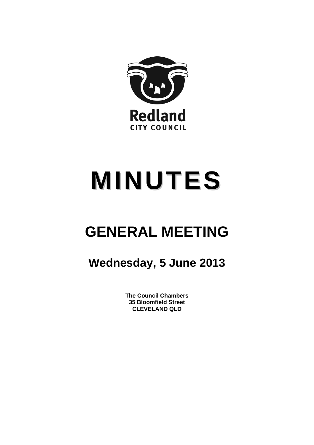

# **MINUTES**

## **GENERAL MEETING**

### **Wednesday, 5 June 2013**

**The Council Chambers 35 Bloomfield Street CLEVELAND QLD**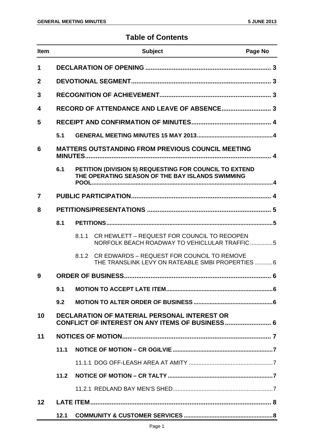#### **Table of Contents**

| <b>Item</b> |                                                                                                        | <b>Subject</b>                                                                                             | Page No |
|-------------|--------------------------------------------------------------------------------------------------------|------------------------------------------------------------------------------------------------------------|---------|
| 1           |                                                                                                        |                                                                                                            |         |
| $\mathbf 2$ |                                                                                                        |                                                                                                            |         |
| 3           |                                                                                                        |                                                                                                            |         |
| 4           |                                                                                                        |                                                                                                            |         |
| 5           |                                                                                                        |                                                                                                            |         |
|             | 5.1                                                                                                    |                                                                                                            |         |
| 6           | <b>MATTERS OUTSTANDING FROM PREVIOUS COUNCIL MEETING</b>                                               |                                                                                                            |         |
|             | 6.1                                                                                                    | PETITION (DIVISION 5) REQUESTING FOR COUNCIL TO EXTEND<br>THE OPERATING SEASON OF THE BAY ISLANDS SWIMMING |         |
| 7           |                                                                                                        |                                                                                                            |         |
| 8           |                                                                                                        |                                                                                                            |         |
|             | 8.1                                                                                                    |                                                                                                            |         |
|             |                                                                                                        | CR HEWLETT - REQUEST FOR COUNCIL TO REOOPEN<br>8.1.1<br>NORFOLK BEACH ROADWAY TO VEHICLULAR TRAFFIC5       |         |
|             |                                                                                                        | 8.1.2 CR EDWARDS - REQUEST FOR COUNCIL TO REMOVE<br>THE TRANSLINK LEVY ON RATEABLE SMBI PROPERTIES 6       |         |
| 9           |                                                                                                        |                                                                                                            |         |
|             | 9.1                                                                                                    |                                                                                                            |         |
|             | 9.2                                                                                                    |                                                                                                            |         |
| 10          | <b>DECLARATION OF MATERIAL PERSONAL INTEREST OR</b><br>CONFLICT OF INTEREST ON ANY ITEMS OF BUSINESS 6 |                                                                                                            |         |
| 11          |                                                                                                        |                                                                                                            |         |
|             | 11.1                                                                                                   |                                                                                                            |         |
|             |                                                                                                        |                                                                                                            |         |
|             | 11.2                                                                                                   |                                                                                                            |         |
|             |                                                                                                        |                                                                                                            |         |
| 12          |                                                                                                        |                                                                                                            |         |
|             | 12.1                                                                                                   |                                                                                                            |         |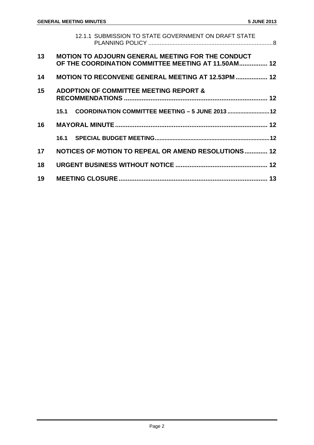|    | 12.1.1 SUBMISSION TO STATE GOVERNMENT ON DRAFT STATE                                                            |  |
|----|-----------------------------------------------------------------------------------------------------------------|--|
| 13 | <b>MOTION TO ADJOURN GENERAL MEETING FOR THE CONDUCT</b><br>OF THE COORDINATION COMMITTEE MEETING AT 11.50AM 12 |  |
| 14 | <b>MOTION TO RECONVENE GENERAL MEETING AT 12.53PM  12</b>                                                       |  |
| 15 | <b>ADOPTION OF COMMITTEE MEETING REPORT &amp;</b>                                                               |  |
|    | COORDINATION COMMITTEE MEETING - 5 JUNE 2013  12<br>15.1                                                        |  |
| 16 |                                                                                                                 |  |
|    |                                                                                                                 |  |
| 17 | NOTICES OF MOTION TO REPEAL OR AMEND RESOLUTIONS 12                                                             |  |
| 18 |                                                                                                                 |  |
| 19 |                                                                                                                 |  |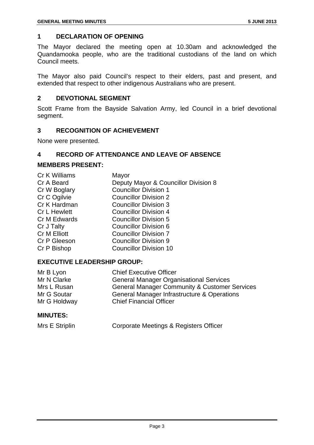#### **1 DECLARATION OF OPENING**

The Mayor declared the meeting open at 10.30am and acknowledged the Quandamooka people, who are the traditional custodians of the land on which Council meets.

The Mayor also paid Council's respect to their elders, past and present, and extended that respect to other indigenous Australians who are present.

#### **2 DEVOTIONAL SEGMENT**

Scott Frame from the Bayside Salvation Army, led Council in a brief devotional segment.

#### **3 RECOGNITION OF ACHIEVEMENT**

None were presented.

#### **4 RECORD OF ATTENDANCE AND LEAVE OF ABSENCE**

#### **MEMBERS PRESENT:**

| Cr K Williams       | Mayor                                |
|---------------------|--------------------------------------|
| Cr A Beard          | Deputy Mayor & Councillor Division 8 |
| Cr W Boglary        | <b>Councillor Division 1</b>         |
| Cr C Ogilvie        | <b>Councillor Division 2</b>         |
| Cr K Hardman        | <b>Councillor Division 3</b>         |
| <b>Cr L Hewlett</b> | <b>Councillor Division 4</b>         |
| Cr M Edwards        | <b>Councillor Division 5</b>         |
| Cr J Talty          | <b>Councillor Division 6</b>         |
| Cr M Elliott        | <b>Councillor Division 7</b>         |
| Cr P Gleeson        | <b>Councillor Division 9</b>         |
| Cr P Bishop         | <b>Councillor Division 10</b>        |
|                     |                                      |

#### **EXECUTIVE LEADERSHIP GROUP:**

| Mr B Lyon    | <b>Chief Executive Officer</b>                           |
|--------------|----------------------------------------------------------|
| Mr N Clarke  | <b>General Manager Organisational Services</b>           |
| Mrs L Rusan  | <b>General Manager Community &amp; Customer Services</b> |
| Mr G Soutar  | General Manager Infrastructure & Operations              |
| Mr G Holdway | <b>Chief Financial Officer</b>                           |
|              |                                                          |

#### **MINUTES:**

| Mrs E Striplin | Corporate Meetings & Registers Officer |
|----------------|----------------------------------------|
|----------------|----------------------------------------|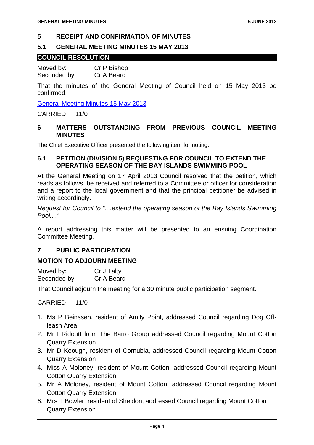#### **5 RECEIPT AND CONFIRMATION OF MINUTES**

#### **5.1 GENERAL MEETING MINUTES 15 MAY 2013**

#### **COUNCIL RESOLUTION**

Moved by: Cr P Bishop Seconded by: Cr A Beard

That the minutes of the General Meeting of Council held on 15 May 2013 be confirmed.

General Meeting Minutes 15 May 2013

CARRIED 11/0

#### **6 MATTERS OUTSTANDING FROM PREVIOUS COUNCIL MEETING MINUTES**

The Chief Executive Officer presented the following item for noting:

#### **6.1 PETITION (DIVISION 5) REQUESTING FOR COUNCIL TO EXTEND THE OPERATING SEASON OF THE BAY ISLANDS SWIMMING POOL**

At the General Meeting on 17 April 2013 Council resolved that the petition, which reads as follows, be received and referred to a Committee or officer for consideration and a report to the local government and that the principal petitioner be advised in writing accordingly.

*Request for Council to "....extend the operating season of the Bay Islands Swimming Pool...."* 

A report addressing this matter will be presented to an ensuing Coordination Committee Meeting.

#### **7 PUBLIC PARTICIPATION**

#### **MOTION TO ADJOURN MEETING**

| Moved by:    | Cr J Talty |
|--------------|------------|
| Seconded by: | Cr A Beard |

That Council adjourn the meeting for a 30 minute public participation segment.

- 1. Ms P Beinssen, resident of Amity Point, addressed Council regarding Dog Offleash Area
- 2. Mr I Ridoutt from The Barro Group addressed Council regarding Mount Cotton Quarry Extension
- 3. Mr D Keough, resident of Cornubia, addressed Council regarding Mount Cotton Quarry Extension
- 4. Miss A Moloney, resident of Mount Cotton, addressed Council regarding Mount Cotton Quarry Extension
- 5. Mr A Moloney, resident of Mount Cotton, addressed Council regarding Mount Cotton Quarry Extension
- 6. Mrs T Bowler, resident of Sheldon, addressed Council regarding Mount Cotton Quarry Extension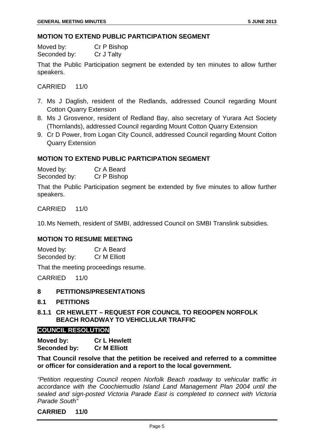#### **MOTION TO EXTEND PUBLIC PARTICIPATION SEGMENT**

Moved by: Cr P Bishop Seconded by: Cr J Talty

That the Public Participation segment be extended by ten minutes to allow further speakers.

CARRIED 11/0

- 7. Ms J Daglish, resident of the Redlands, addressed Council regarding Mount Cotton Quarry Extension
- 8. Ms J Grosvenor, resident of Redland Bay, also secretary of Yurara Act Society (Thornlands), addressed Council regarding Mount Cotton Quarry Extension
- 9. Cr D Power, from Logan City Council, addressed Council regarding Mount Cotton Quarry Extension

#### **MOTION TO EXTEND PUBLIC PARTICIPATION SEGMENT**

Moved by: Cr A Beard Seconded by: Cr P Bishop

That the Public Participation segment be extended by five minutes to allow further speakers.

CARRIED 11/0

10. Ms Nemeth, resident of SMBI, addressed Council on SMBI Translink subsidies.

#### **MOTION TO RESUME MEETING**

Moved by: Cr A Beard Seconded by: Cr M Elliott

That the meeting proceedings resume.

CARRIED 11/0

#### **8 PETITIONS/PRESENTATIONS**

#### **8.1 PETITIONS**

**8.1.1 CR HEWLETT – REQUEST FOR COUNCIL TO REOOPEN NORFOLK BEACH ROADWAY TO VEHICLULAR TRAFFIC** 

#### **COUNCIL RESOLUTION**

**Moved by: Cr L Hewlett Seconded by: Cr M Elliott** 

#### **That Council resolve that the petition be received and referred to a committee or officer for consideration and a report to the local government.**

*"Petition requesting Council reopen Norfolk Beach roadway to vehicular traffic in accordance with the Coochiemudlo Island Land Management Plan 2004 until the sealed and sign-posted Victoria Parade East is completed to connect with Victoria Parade South"*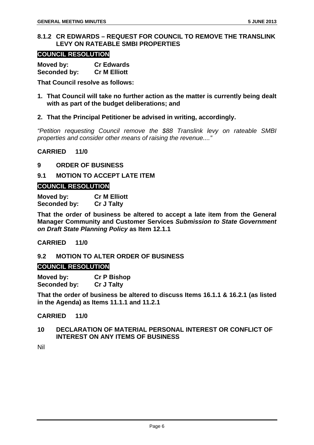#### **8.1.2 CR EDWARDS – REQUEST FOR COUNCIL TO REMOVE THE TRANSLINK LEVY ON RATEABLE SMBI PROPERTIES**

#### **COUNCIL RESOLUTION**

| Moved by:    | <b>Cr Edwards</b>   |
|--------------|---------------------|
| Seconded by: | <b>Cr M Elliott</b> |

**That Council resolve as follows:** 

**1. That Council will take no further action as the matter is currently being dealt with as part of the budget deliberations; and** 

#### **2. That the Principal Petitioner be advised in writing, accordingly.**

*"Petition requesting Council remove the \$88 Translink levy on rateable SMBI properties and consider other means of raising the revenue...."* 

**CARRIED 11/0** 

#### **9 ORDER OF BUSINESS**

#### **9.1 MOTION TO ACCEPT LATE ITEM**

#### **COUNCIL RESOLUTION**

**Moved by: Cr M Elliott Seconded by: Cr J Talty** 

**That the order of business be altered to accept a late item from the General Manager Community and Customer Services** *Submission to State Government on Draft State Planning Policy* **as Item 12.1.1** 

#### **CARRIED 11/0**

#### **9.2 MOTION TO ALTER ORDER OF BUSINESS**

#### **COUNCIL RESOLUTION**

**Moved by: Cr P Bishop Seconded by: Cr J Talty** 

**That the order of business be altered to discuss Items 16.1.1 & 16.2.1 (as listed in the Agenda) as Items 11.1.1 and 11.2.1** 

#### **CARRIED 11/0**

#### **10 DECLARATION OF MATERIAL PERSONAL INTEREST OR CONFLICT OF INTEREST ON ANY ITEMS OF BUSINESS**

Nil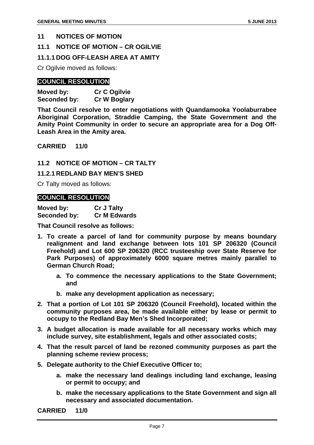#### **11 NOTICES OF MOTION**

#### **11.1 NOTICE OF MOTION – CR OGILVIE**

#### **11.1.1 DOG OFF-LEASH AREA AT AMITY**

Cr Ogilvie moved as follows:

#### **COUNCIL RESOLUTION**

| Moved by:    | <b>Cr C Ogilvie</b> |
|--------------|---------------------|
| Seconded by: | <b>Cr W Boglary</b> |

**That Council resolve to enter negotiations with Quandamooka Yoolaburrabee Aboriginal Corporation, Straddie Camping, the State Government and the Amity Point Community in order to secure an appropriate area for a Dog Off-Leash Area in the Amity area.** 

**CARRIED 11/0** 

**11.2 NOTICE OF MOTION – CR TALTY** 

**11.2.1 REDLAND BAY MEN'S SHED** 

Cr Talty moved as follows:

#### **COUNCIL RESOLUTION**

| Moved by:    | <b>Cr J Talty</b>   |
|--------------|---------------------|
| Seconded by: | <b>Cr M Edwards</b> |

**That Council resolve as follows:** 

- **1. To create a parcel of land for community purpose by means boundary realignment and land exchange between lots 101 SP 206320 (Council Freehold) and Lot 600 SP 206320 (RCC trusteeship over State Reserve for Park Purposes) of approximately 6000 square metres mainly parallel to German Church Road;** 
	- **a. To commence the necessary applications to the State Government; and**
	- **b. make any development application as necessary;**
- **2. That a portion of Lot 101 SP 206320 (Council Freehold), located within the community purposes area, be made available either by lease or permit to occupy to the Redland Bay Men's Shed Incorporated;**
- **3. A budget allocation is made available for all necessary works which may include survey, site establishment, legals and other associated costs;**
- **4. That the result parcel of land be rezoned community purposes as part the planning scheme review process;**
- **5. Delegate authority to the Chief Executive Officer to;** 
	- **a. make the necessary land dealings including land exchange, leasing or permit to occupy; and**
	- **b. make the necessary applications to the State Government and sign all necessary and associated documentation.**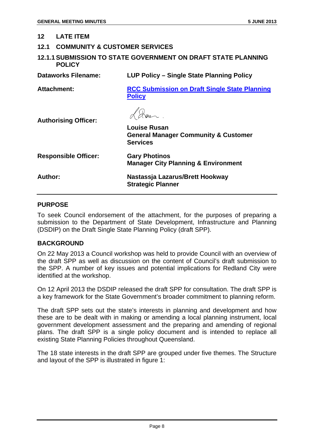#### **12 LATE ITEM**

#### **12.1 COMMUNITY & CUSTOMER SERVICES**

#### **12.1.1 SUBMISSION TO STATE GOVERNMENT ON DRAFT STATE PLANNING POLICY**

**Dataworks Filename: LUP Policy – Single State Planning Policy** 

**Attachment: RCC Submission on Draft Single State Planning Policy**

L'Aver.

**Authorising Officer:** 

|                             | <b>Louise Rusan</b><br><b>General Manager Community &amp; Customer</b><br><b>Services</b> |
|-----------------------------|-------------------------------------------------------------------------------------------|
| <b>Responsible Officer:</b> | <b>Gary Photinos</b><br><b>Manager City Planning &amp; Environment</b>                    |
| Author:                     | Nastassja Lazarus/Brett Hookway<br><b>Strategic Planner</b>                               |

#### **PURPOSE**

To seek Council endorsement of the attachment, for the purposes of preparing a submission to the Department of State Development, Infrastructure and Planning (DSDIP) on the Draft Single State Planning Policy (draft SPP).

#### **BACKGROUND**

On 22 May 2013 a Council workshop was held to provide Council with an overview of the draft SPP as well as discussion on the content of Council's draft submission to the SPP. A number of key issues and potential implications for Redland City were identified at the workshop.

On 12 April 2013 the DSDIP released the draft SPP for consultation. The draft SPP is a key framework for the State Government's broader commitment to planning reform.

The draft SPP sets out the state's interests in planning and development and how these are to be dealt with in making or amending a local planning instrument, local government development assessment and the preparing and amending of regional plans. The draft SPP is a single policy document and is intended to replace all existing State Planning Policies throughout Queensland.

The 18 state interests in the draft SPP are grouped under five themes. The Structure and layout of the SPP is illustrated in figure 1: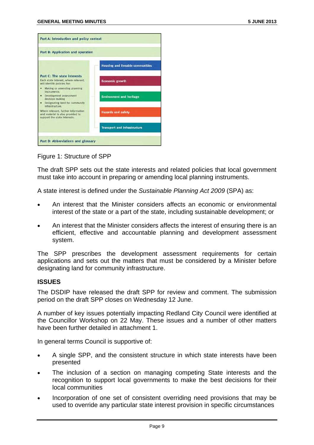| Part B: Application and operation                                                                         |                                         |
|-----------------------------------------------------------------------------------------------------------|-----------------------------------------|
|                                                                                                           | <b>Housing and liveable communities</b> |
| <b>Part C: The state interests</b><br>Each state interest, where relevant.<br>will identify policies for: | <b>Economic growth</b>                  |
| Making or amending planning<br>٠<br>instruments                                                           |                                         |
| Development assessment<br>٠<br>decision making<br>Designating land for community<br>٠<br>infrastructure.  | <b>Environment and heritage</b>         |
| Where relevant, further information<br>and material is also provided to<br>support the state interests.   | <b>Hazards and safety</b>               |
|                                                                                                           | <b>Transport and infrastructure</b>     |

Figure 1: Structure of SPP

The draft SPP sets out the state interests and related policies that local government must take into account in preparing or amending local planning instruments.

A state interest is defined under the *Sustainable Planning Act 2009* (SPA) as:

- An interest that the Minister considers affects an economic or environmental interest of the state or a part of the state, including sustainable development; or
- An interest that the Minister considers affects the interest of ensuring there is an efficient, effective and accountable planning and development assessment system.

The SPP prescribes the development assessment requirements for certain applications and sets out the matters that must be considered by a Minister before designating land for community infrastructure.

#### **ISSUES**

The DSDIP have released the draft SPP for review and comment. The submission period on the draft SPP closes on Wednesday 12 June.

A number of key issues potentially impacting Redland City Council were identified at the Councillor Workshop on 22 May. These issues and a number of other matters have been further detailed in attachment 1.

In general terms Council is supportive of:

- A single SPP, and the consistent structure in which state interests have been presented
- The inclusion of a section on managing competing State interests and the recognition to support local governments to make the best decisions for their local communities
- Incorporation of one set of consistent overriding need provisions that may be used to override any particular state interest provision in specific circumstances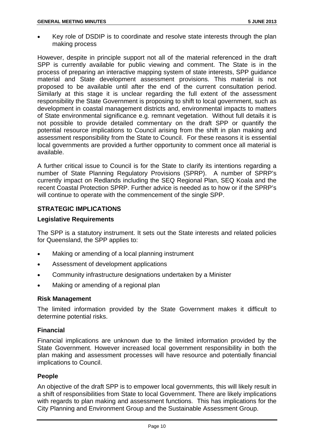• Key role of DSDIP is to coordinate and resolve state interests through the plan making process

However, despite in principle support not all of the material referenced in the draft SPP is currently available for public viewing and comment. The State is in the process of preparing an interactive mapping system of state interests, SPP guidance material and State development assessment provisions. This material is not proposed to be available until after the end of the current consultation period. Similarly at this stage it is unclear regarding the full extent of the assessment responsibility the State Government is proposing to shift to local government, such as development in coastal management districts and, environmental impacts to matters of State environmental significance e.g. remnant vegetation. Without full details it is not possible to provide detailed commentary on the draft SPP or quantify the potential resource implications to Council arising from the shift in plan making and assessment responsibility from the State to Council. For these reasons it is essential local governments are provided a further opportunity to comment once all material is available.

A further critical issue to Council is for the State to clarify its intentions regarding a number of State Planning Regulatory Provisions (SPRP). A number of SPRP's currently impact on Redlands including the SEQ Regional Plan, SEQ Koala and the recent Coastal Protection SPRP. Further advice is needed as to how or if the SPRP's will continue to operate with the commencement of the single SPP.

#### **STRATEGIC IMPLICATIONS**

#### **Legislative Requirements**

The SPP is a statutory instrument. It sets out the State interests and related policies for Queensland, the SPP applies to:

- Making or amending of a local planning instrument
- Assessment of development applications
- Community infrastructure designations undertaken by a Minister
- Making or amending of a regional plan

#### **Risk Management**

The limited information provided by the State Government makes it difficult to determine potential risks.

#### **Financial**

Financial implications are unknown due to the limited information provided by the State Government. However increased local government responsibility in both the plan making and assessment processes will have resource and potentially financial implications to Council.

#### **People**

An objective of the draft SPP is to empower local governments, this will likely result in a shift of responsibilities from State to local Government. There are likely implications with regards to plan making and assessment functions. This has implications for the City Planning and Environment Group and the Sustainable Assessment Group.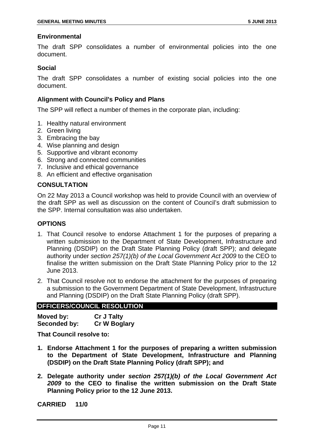#### **Environmental**

The draft SPP consolidates a number of environmental policies into the one document.

#### **Social**

The draft SPP consolidates a number of existing social policies into the one document.

#### **Alignment with Council's Policy and Plans**

The SPP will reflect a number of themes in the corporate plan, including:

- 1. Healthy natural environment
- 2. Green living
- 3. Embracing the bay
- 4. Wise planning and design
- 5. Supportive and vibrant economy
- 6. Strong and connected communities
- 7. Inclusive and ethical governance
- 8. An efficient and effective organisation

#### **CONSULTATION**

On 22 May 2013 a Council workshop was held to provide Council with an overview of the draft SPP as well as discussion on the content of Council's draft submission to the SPP. Internal consultation was also undertaken.

#### **OPTIONS**

- 1. That Council resolve to endorse Attachment 1 for the purposes of preparing a written submission to the Department of State Development, Infrastructure and Planning (DSDIP) on the Draft State Planning Policy (draft SPP); and delegate authority under *section 257(1)(b) of the Local Government Act 2009* to the CEO to finalise the written submission on the Draft State Planning Policy prior to the 12 June 2013.
- 2. That Council resolve not to endorse the attachment for the purposes of preparing a submission to the Government Department of State Development, Infrastructure and Planning (DSDIP) on the Draft State Planning Policy (draft SPP).

#### **OFFICERS/COUNCIL RESOLUTION**

| Moved by:    | <b>Cr J Talty</b>   |
|--------------|---------------------|
| Seconded by: | <b>Cr W Boglary</b> |

**That Council resolve to:** 

- **1. Endorse Attachment 1 for the purposes of preparing a written submission to the Department of State Development, Infrastructure and Planning (DSDIP) on the Draft State Planning Policy (draft SPP); and**
- **2. Delegate authority under** *section 257(1)(b) of the Local Government Act 2009* **to the CEO to finalise the written submission on the Draft State Planning Policy prior to the 12 June 2013.**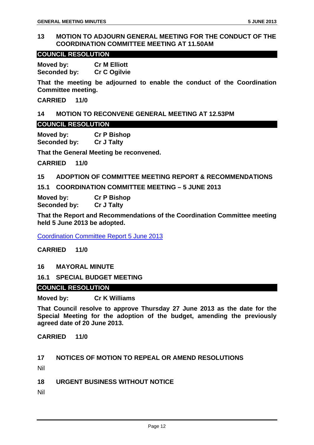#### **13 MOTION TO ADJOURN GENERAL MEETING FOR THE CONDUCT OF THE COORDINATION COMMITTEE MEETING AT 11.50AM**

#### **COUNCIL RESOLUTION**

**Moved by: Cr M Elliott Seconded by: Cr C Ogilvie** 

**That the meeting be adjourned to enable the conduct of the Coordination Committee meeting.** 

**CARRIED 11/0** 

#### **14 MOTION TO RECONVENE GENERAL MEETING AT 12.53PM**

#### **COUNCIL RESOLUTION**

**Moved by: Cr P Bishop Seconded by: Cr J Talty** 

**That the General Meeting be reconvened.** 

**CARRIED 11/0** 

#### **15 ADOPTION OF COMMITTEE MEETING REPORT & RECOMMENDATIONS**

**15.1 COORDINATION COMMITTEE MEETING – 5 JUNE 2013** 

| Moved by:    | <b>Cr P Bishop</b> |
|--------------|--------------------|
| Seconded by: | <b>Cr J Talty</b>  |

**That the Report and Recommendations of the Coordination Committee meeting held 5 June 2013 be adopted.** 

Coordination Committee Report 5 June 2013

**CARRIED 11/0** 

**16 MAYORAL MINUTE** 

**16.1 SPECIAL BUDGET MEETING** 

#### **COUNCIL RESOLUTION**

**Moved by: Cr K Williams** 

**That Council resolve to approve Thursday 27 June 2013 as the date for the Special Meeting for the adoption of the budget, amending the previously agreed date of 20 June 2013.** 

**CARRIED 11/0** 

#### **17 NOTICES OF MOTION TO REPEAL OR AMEND RESOLUTIONS**

Nil

**18 URGENT BUSINESS WITHOUT NOTICE** 

Nil